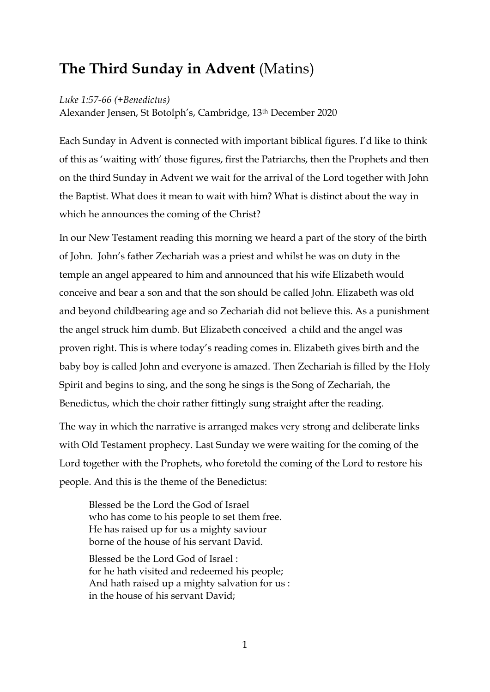## **The Third Sunday in Advent** (Matins)

## *Luke 1:57-66 (+Benedictus)*

Alexander Jensen, St Botolph's, Cambridge, 13th December 2020

Each Sunday in Advent is connected with important biblical figures. I'd like to think of this as 'waiting with' those figures, first the Patriarchs, then the Prophets and then on the third Sunday in Advent we wait for the arrival of the Lord together with John the Baptist. What does it mean to wait with him? What is distinct about the way in which he announces the coming of the Christ?

In our New Testament reading this morning we heard a part of the story of the birth of John. John's father Zechariah was a priest and whilst he was on duty in the temple an angel appeared to him and announced that his wife Elizabeth would conceive and bear a son and that the son should be called John. Elizabeth was old and beyond childbearing age and so Zechariah did not believe this. As a punishment the angel struck him dumb. But Elizabeth conceived a child and the angel was proven right. This is where today's reading comes in. Elizabeth gives birth and the baby boy is called John and everyone is amazed. Then Zechariah is filled by the Holy Spirit and begins to sing, and the song he sings is the Song of Zechariah, the Benedictus, which the choir rather fittingly sung straight after the reading.

The way in which the narrative is arranged makes very strong and deliberate links with Old Testament prophecy. Last Sunday we were waiting for the coming of the Lord together with the Prophets, who foretold the coming of the Lord to restore his people. And this is the theme of the Benedictus:

Blessed be the Lord the God of Israel who has come to his people to set them free. He has raised up for us a mighty saviour borne of the house of his servant David.

Blessed be the Lord God of Israel : for he hath visited and redeemed his people; And hath raised up a mighty salvation for us : in the house of his servant David;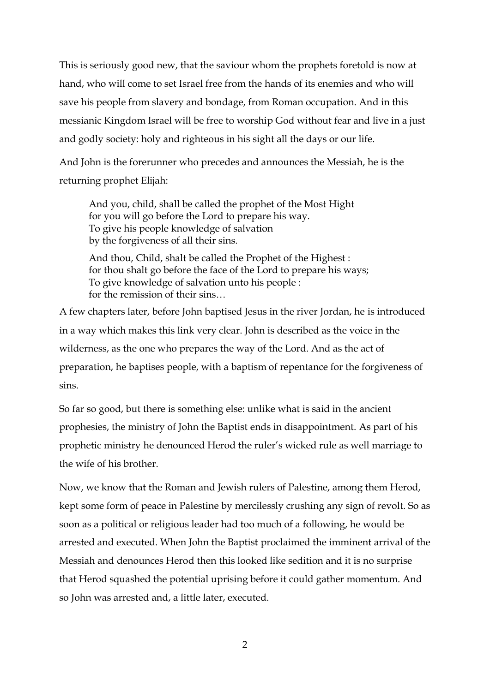This is seriously good new, that the saviour whom the prophets foretold is now at hand, who will come to set Israel free from the hands of its enemies and who will save his people from slavery and bondage, from Roman occupation. And in this messianic Kingdom Israel will be free to worship God without fear and live in a just and godly society: holy and righteous in his sight all the days or our life.

And John is the forerunner who precedes and announces the Messiah, he is the returning prophet Elijah:

And you, child, shall be called the prophet of the Most Hight for you will go before the Lord to prepare his way. To give his people knowledge of salvation by the forgiveness of all their sins.

And thou, Child, shalt be called the Prophet of the Highest : for thou shalt go before the face of the Lord to prepare his ways; To give knowledge of salvation unto his people : for the remission of their sins…

A few chapters later, before John baptised Jesus in the river Jordan, he is introduced in a way which makes this link very clear. John is described as the voice in the wilderness, as the one who prepares the way of the Lord. And as the act of preparation, he baptises people, with a baptism of repentance for the forgiveness of sins.

So far so good, but there is something else: unlike what is said in the ancient prophesies, the ministry of John the Baptist ends in disappointment. As part of his prophetic ministry he denounced Herod the ruler's wicked rule as well marriage to the wife of his brother.

Now, we know that the Roman and Jewish rulers of Palestine, among them Herod, kept some form of peace in Palestine by mercilessly crushing any sign of revolt. So as soon as a political or religious leader had too much of a following, he would be arrested and executed. When John the Baptist proclaimed the imminent arrival of the Messiah and denounces Herod then this looked like sedition and it is no surprise that Herod squashed the potential uprising before it could gather momentum. And so John was arrested and, a little later, executed.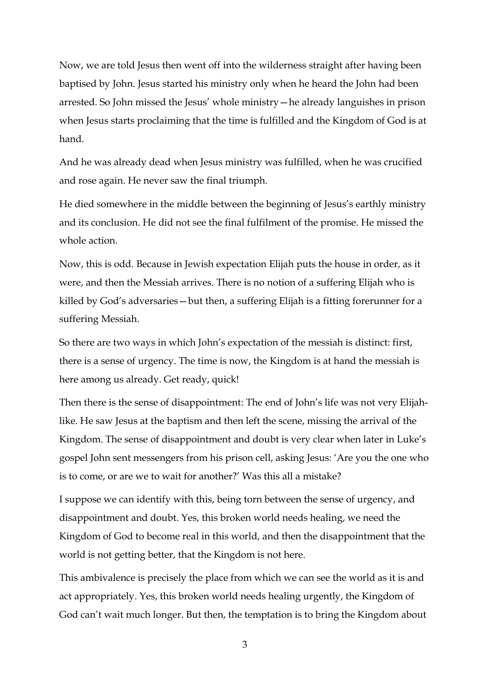Now, we are told Jesus then went off into the wilderness straight after having been baptised by John. Jesus started his ministry only when he heard the John had been arrested. So John missed the Jesus' whole ministry—he already languishes in prison when Jesus starts proclaiming that the time is fulfilled and the Kingdom of God is at hand.

And he was already dead when Jesus ministry was fulfilled, when he was crucified and rose again. He never saw the final triumph.

He died somewhere in the middle between the beginning of Jesus's earthly ministry and its conclusion. He did not see the final fulfilment of the promise. He missed the whole action

Now, this is odd. Because in Jewish expectation Elijah puts the house in order, as it were, and then the Messiah arrives. There is no notion of a suffering Elijah who is killed by God's adversaries—but then, a suffering Elijah is a fitting forerunner for a suffering Messiah.

So there are two ways in which John's expectation of the messiah is distinct: first, there is a sense of urgency. The time is now, the Kingdom is at hand the messiah is here among us already. Get ready, quick!

Then there is the sense of disappointment: The end of John's life was not very Elijahlike. He saw Jesus at the baptism and then left the scene, missing the arrival of the Kingdom. The sense of disappointment and doubt is very clear when later in Luke's gospel John sent messengers from his prison cell, asking Jesus: 'Are you the one who is to come, or are we to wait for another?' Was this all a mistake?

I suppose we can identify with this, being torn between the sense of urgency, and disappointment and doubt. Yes, this broken world needs healing, we need the Kingdom of God to become real in this world, and then the disappointment that the world is not getting better, that the Kingdom is not here.

This ambivalence is precisely the place from which we can see the world as it is and act appropriately. Yes, this broken world needs healing urgently, the Kingdom of God can't wait much longer. But then, the temptation is to bring the Kingdom about

3